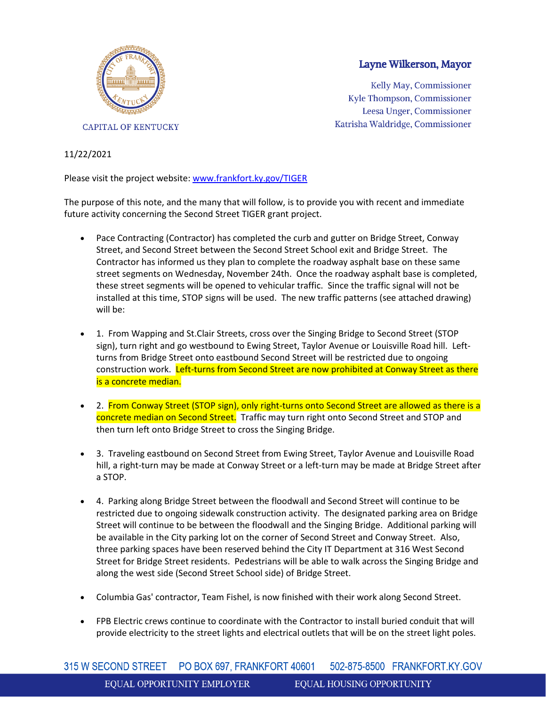

## Layne Wilkerson, Mayor

Kelly May, Commissioner Kyle Thompson, Commissioner Leesa Unger, Commissioner Katrisha Waldridge, Commissioner

## 11/22/2021

Please visit the project website: [www.frankfort.ky.gov/TIGER](https://us-east-2.protection.sophos.com/?d=ky.gov&u=aHR0cDovL3d3dy5mcmFua2ZvcnQua3kuZ292L1RJR0VS&i=NWY4NWUzODAzMGRjMDYwZTBhN2I0MjIy&t=bmt6R2Q3QlVyNUp1eVR6SGVwbUJnQkJMRUE5YXhWR2FlZWlrRlFHd1FJWT0=&h=5107ff473dfb46de9c99edda9afdc01d)

The purpose of this note, and the many that will follow, is to provide you with recent and immediate future activity concerning the Second Street TIGER grant project.

- Pace Contracting (Contractor) has completed the curb and gutter on Bridge Street, Conway Street, and Second Street between the Second Street School exit and Bridge Street. The Contractor has informed us they plan to complete the roadway asphalt base on these same street segments on Wednesday, November 24th. Once the roadway asphalt base is completed, these street segments will be opened to vehicular traffic. Since the traffic signal will not be installed at this time, STOP signs will be used. The new traffic patterns (see attached drawing) will be:
- 1. From Wapping and St.Clair Streets, cross over the Singing Bridge to Second Street (STOP sign), turn right and go westbound to Ewing Street, Taylor Avenue or Louisville Road hill. Leftturns from Bridge Street onto eastbound Second Street will be restricted due to ongoing construction work. Left-turns from Second Street are now prohibited at Conway Street as there is a concrete median.
- 2. From Conway Street (STOP sign), only right-turns onto Second Street are allowed as there is a concrete median on Second Street. Traffic may turn right onto Second Street and STOP and then turn left onto Bridge Street to cross the Singing Bridge.
- 3. Traveling eastbound on Second Street from Ewing Street, Taylor Avenue and Louisville Road hill, a right-turn may be made at Conway Street or a left-turn may be made at Bridge Street after a STOP.
- 4. Parking along Bridge Street between the floodwall and Second Street will continue to be restricted due to ongoing sidewalk construction activity. The designated parking area on Bridge Street will continue to be between the floodwall and the Singing Bridge. Additional parking will be available in the City parking lot on the corner of Second Street and Conway Street. Also, three parking spaces have been reserved behind the City IT Department at 316 West Second Street for Bridge Street residents. Pedestrians will be able to walk across the Singing Bridge and along the west side (Second Street School side) of Bridge Street.
- Columbia Gas' contractor, Team Fishel, is now finished with their work along Second Street.
- FPB Electric crews continue to coordinate with the Contractor to install buried conduit that will provide electricity to the street lights and electrical outlets that will be on the street light poles.